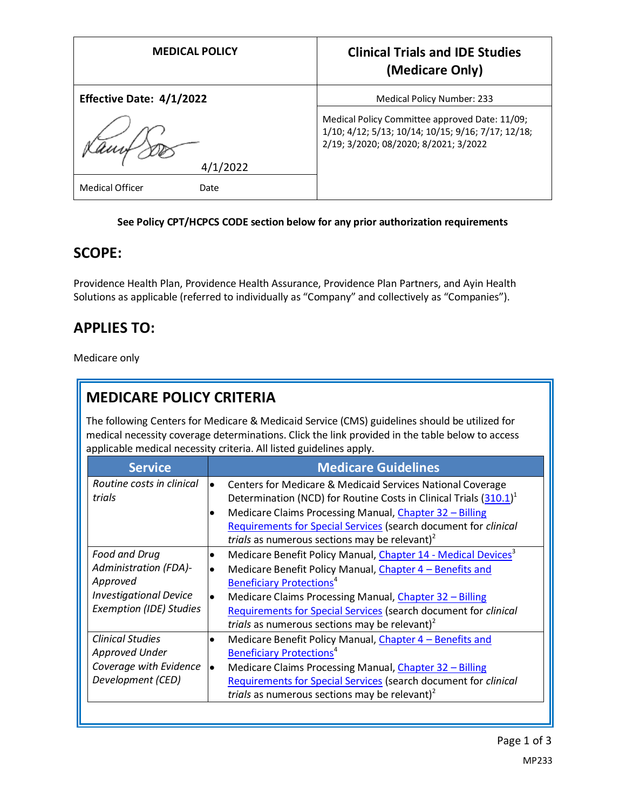| <b>MEDICAL POLICY</b>    | <b>Clinical Trials and IDE Studies</b><br>(Medicare Only)                                                                                     |
|--------------------------|-----------------------------------------------------------------------------------------------------------------------------------------------|
| Effective Date: 4/1/2022 | <b>Medical Policy Number: 233</b>                                                                                                             |
| 4/1/2022                 | Medical Policy Committee approved Date: 11/09;<br>1/10; 4/12; 5/13; 10/14; 10/15; 9/16; 7/17; 12/18;<br>2/19; 3/2020; 08/2020; 8/2021; 3/2022 |
| Medical Officer<br>Date  |                                                                                                                                               |

#### **See Policy CPT/HCPCS CODE section below for any prior authorization requirements**

## **SCOPE:**

Providence Health Plan, Providence Health Assurance, Providence Plan Partners, and Ayin Health Solutions as applicable (referred to individually as "Company" and collectively as "Companies").

# **APPLIES TO:**

Medicare only

# **MEDICARE POLICY CRITERIA**

The following Centers for Medicare & Medicaid Service (CMS) guidelines should be utilized for medical necessity coverage determinations. Click the link provided in the table below to access applicable medical necessity criteria. All listed guidelines apply.

| <b>Service</b>                                                                                                               | <b>Medicare Guidelines</b>                                                                                                                                                                                                                                                                                                                                                                                    |
|------------------------------------------------------------------------------------------------------------------------------|---------------------------------------------------------------------------------------------------------------------------------------------------------------------------------------------------------------------------------------------------------------------------------------------------------------------------------------------------------------------------------------------------------------|
| Routine costs in clinical<br>trials                                                                                          | Centers for Medicare & Medicaid Services National Coverage<br>$\bullet$<br>Determination (NCD) for Routine Costs in Clinical Trials (310.1) <sup>1</sup><br>Medicare Claims Processing Manual, Chapter 32 - Billing<br>Requirements for Special Services (search document for clinical<br>trials as numerous sections may be relevant) $^2$                                                                   |
| Food and Drug<br><b>Administration (FDA)-</b><br>Approved<br><b>Investigational Device</b><br><b>Exemption (IDE) Studies</b> | Medicare Benefit Policy Manual, Chapter 14 - Medical Devices <sup>3</sup><br>٠<br>Medicare Benefit Policy Manual, Chapter 4 - Benefits and<br>$\bullet$<br><b>Beneficiary Protections<sup>4</sup></b><br>Medicare Claims Processing Manual, Chapter 32 - Billing<br>$\bullet$<br>Requirements for Special Services (search document for clinical<br>trials as numerous sections may be relevant) <sup>2</sup> |
| <b>Clinical Studies</b><br><b>Approved Under</b><br>Coverage with Evidence<br>Development (CED)                              | Medicare Benefit Policy Manual, Chapter 4 - Benefits and<br>$\bullet$<br><b>Beneficiary Protections<sup>4</sup></b><br>Medicare Claims Processing Manual, Chapter 32 - Billing<br>$\bullet$<br>Requirements for Special Services (search document for clinical<br>trials as numerous sections may be relevant) $^2$                                                                                           |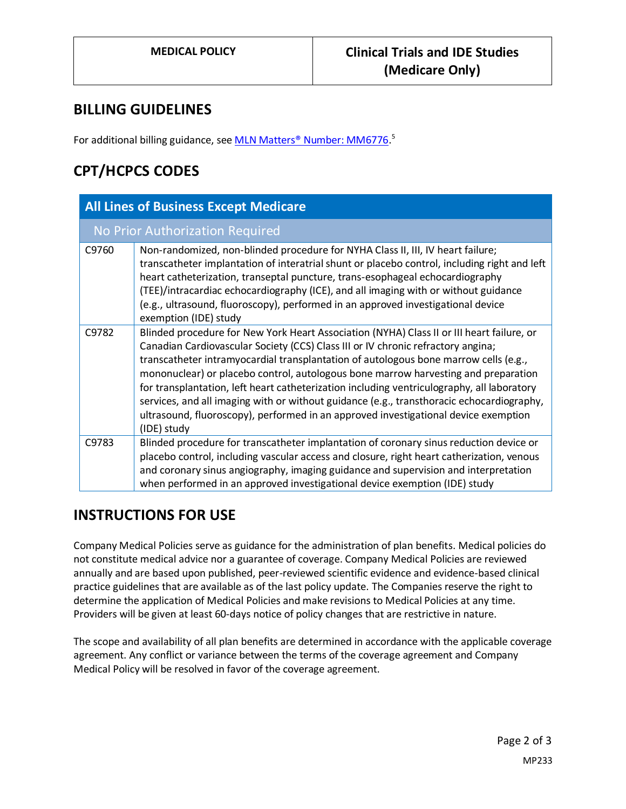### **BILLING GUIDELINES**

For additional billing guidance, se[e MLN Matters® Number: MM6776.](https://www.cms.gov/Regulations-and-Guidance/Guidance/Transmittals/2010-Transmittals-Items/CMS1239536)<sup>5</sup>

# **CPT/HCPCS CODES**

| <b>All Lines of Business Except Medicare</b> |                                                                                                                                                                                                                                                                                                                                                                                                                                                                                                                                                                                                                                                              |  |
|----------------------------------------------|--------------------------------------------------------------------------------------------------------------------------------------------------------------------------------------------------------------------------------------------------------------------------------------------------------------------------------------------------------------------------------------------------------------------------------------------------------------------------------------------------------------------------------------------------------------------------------------------------------------------------------------------------------------|--|
| No Prior Authorization Required              |                                                                                                                                                                                                                                                                                                                                                                                                                                                                                                                                                                                                                                                              |  |
| C9760                                        | Non-randomized, non-blinded procedure for NYHA Class II, III, IV heart failure;<br>transcatheter implantation of interatrial shunt or placebo control, including right and left<br>heart catheterization, transeptal puncture, trans-esophageal echocardiography<br>(TEE)/intracardiac echocardiography (ICE), and all imaging with or without guidance<br>(e.g., ultrasound, fluoroscopy), performed in an approved investigational device<br>exemption (IDE) study                                                                                                                                                                                         |  |
| C9782                                        | Blinded procedure for New York Heart Association (NYHA) Class II or III heart failure, or<br>Canadian Cardiovascular Society (CCS) Class III or IV chronic refractory angina;<br>transcatheter intramyocardial transplantation of autologous bone marrow cells (e.g.,<br>mononuclear) or placebo control, autologous bone marrow harvesting and preparation<br>for transplantation, left heart catheterization including ventriculography, all laboratory<br>services, and all imaging with or without guidance (e.g., transthoracic echocardiography,<br>ultrasound, fluoroscopy), performed in an approved investigational device exemption<br>(IDE) study |  |
| C9783                                        | Blinded procedure for transcatheter implantation of coronary sinus reduction device or<br>placebo control, including vascular access and closure, right heart catherization, venous<br>and coronary sinus angiography, imaging guidance and supervision and interpretation<br>when performed in an approved investigational device exemption (IDE) study                                                                                                                                                                                                                                                                                                     |  |

## **INSTRUCTIONS FOR USE**

Company Medical Policies serve as guidance for the administration of plan benefits. Medical policies do not constitute medical advice nor a guarantee of coverage. Company Medical Policies are reviewed annually and are based upon published, peer-reviewed scientific evidence and evidence-based clinical practice guidelines that are available as of the last policy update. The Companies reserve the right to determine the application of Medical Policies and make revisions to Medical Policies at any time. Providers will be given at least 60-days notice of policy changes that are restrictive in nature.

The scope and availability of all plan benefits are determined in accordance with the applicable coverage agreement. Any conflict or variance between the terms of the coverage agreement and Company Medical Policy will be resolved in favor of the coverage agreement.